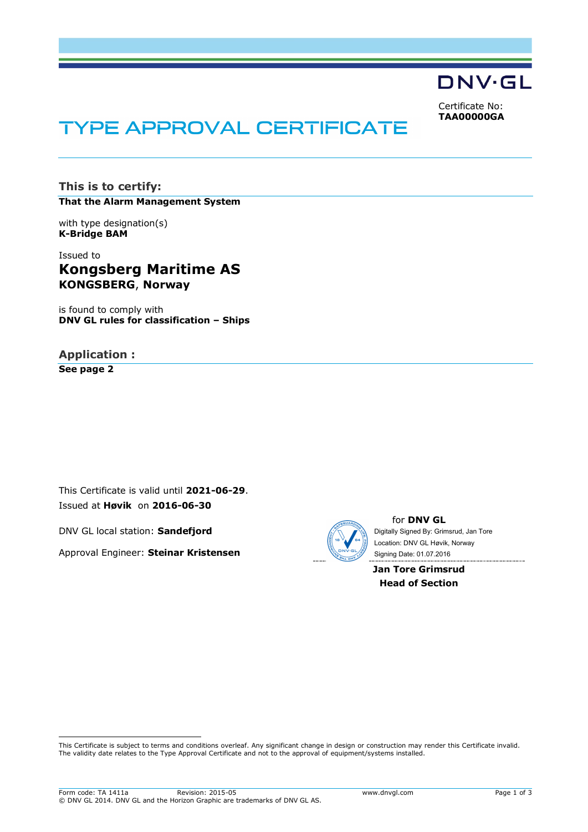

Certificate No: **TAA00000GA**

# **TYPE APPROVAL CERTIFICATE**

**This is to certify: That the Alarm Management System**

with type designation(s) **K-Bridge BAM**

Issued to **Kongsberg Maritime AS KONGSBERG**, **Norway**

is found to comply with **DNV GL rules for classification – Ships**

# **Application :**

**See page 2**

i<br>I

This Certificate is valid until **2021-06-29**. Issued at **Høvik** on **2016-06-30**

DNV GL local station: **Sandefjord**

Approval Engineer: **Steinar Kristensen**



for **DNV GL** Digitally Signed By: Grimsrud, Jan Tore Signing Date: 01.07.2016 Location: DNV GL Høvik, Norway

**Jan Tore Grimsrud Head of Section**

This Certificate is subject to terms and conditions overleaf. Any significant change in design or construction may render this Certificate invalid. The validity date relates to the Type Approval Certificate and not to the approval of equipment/systems installed.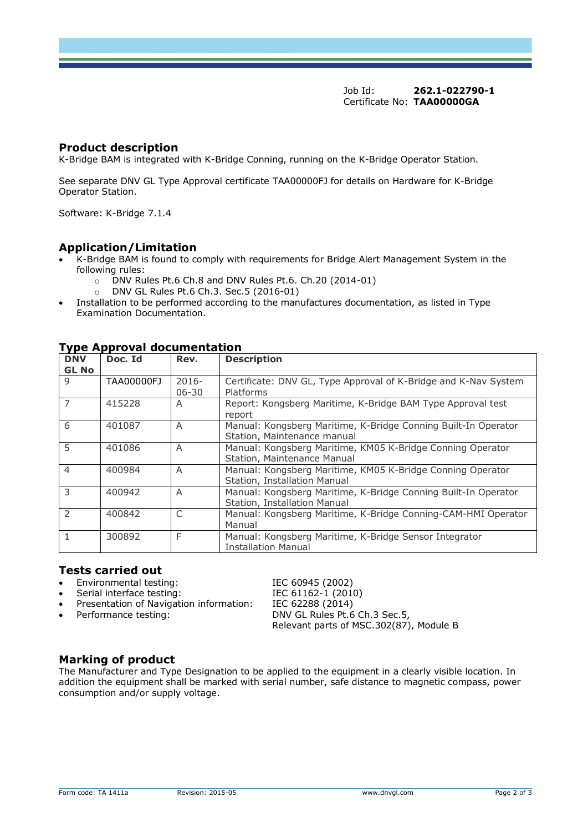Job Id: **262.1-022790-1** Certificate No: **TAA00000GA**

#### **Product description**

K-Bridge BAM is integrated with K-Bridge Conning, running on the K-Bridge Operator Station.

See separate DNV GL Type Approval certificate TAA00000FJ for details on Hardware for K-Bridge Operator Station.

Software: K-Bridge 7.1.4

#### **Application/Limitation**

- K-Bridge BAM is found to comply with requirements for Bridge Alert Management System in the following rules:
	- o DNV Rules Pt.6 Ch.8 and DNV Rules Pt.6. Ch.20 (2014-01)
	- o DNV GL Rules Pt.6 Ch.3. Sec.5 (2016-01)
- Installation to be performed according to the manufactures documentation, as listed in Type Examination Documentation.

| <b>DNV</b><br><b>GL No</b> | Doc. Id    | Rev.                  | <b>Description</b>                                                                             |
|----------------------------|------------|-----------------------|------------------------------------------------------------------------------------------------|
| $\mathsf{Q}$               | TAA00000FJ | $2016 -$<br>$06 - 30$ | Certificate: DNV GL, Type Approval of K-Bridge and K-Nav System<br>Platforms                   |
| $\overline{7}$             | 415228     | A                     | Report: Kongsberg Maritime, K-Bridge BAM Type Approval test<br>report                          |
| 6                          | 401087     | A                     | Manual: Kongsberg Maritime, K-Bridge Conning Built-In Operator<br>Station, Maintenance manual  |
| 5                          | 401086     | A                     | Manual: Kongsberg Maritime, KM05 K-Bridge Conning Operator<br>Station, Maintenance Manual      |
| $\overline{4}$             | 400984     | A                     | Manual: Kongsberg Maritime, KM05 K-Bridge Conning Operator<br>Station, Installation Manual     |
| 3                          | 400942     | A                     | Manual: Kongsberg Maritime, K-Bridge Conning Built-In Operator<br>Station, Installation Manual |
| $\mathcal{P}$              | 400842     | C                     | Manual: Kongsberg Maritime, K-Bridge Conning-CAM-HMI Operator<br>Manual                        |
| $\mathbf{1}$               | 300892     | F                     | Manual: Kongsberg Maritime, K-Bridge Sensor Integrator<br><b>Installation Manual</b>           |

## **Type Approval documentation**

#### **Tests carried out**

- Environmental testing: IEC 60945 (2002)
- Serial interface testing:<br>IEC 61162-1 (2010)
- Presentation of Navigation information: IEC 62288 (2014)
- 

Performance testing: DNV GL Rules Pt.6 Ch.3 Sec.5, Relevant parts of MSC.302(87), Module B

### **Marking of product**

The Manufacturer and Type Designation to be applied to the equipment in a clearly visible location. In addition the equipment shall be marked with serial number, safe distance to magnetic compass, power consumption and/or supply voltage.